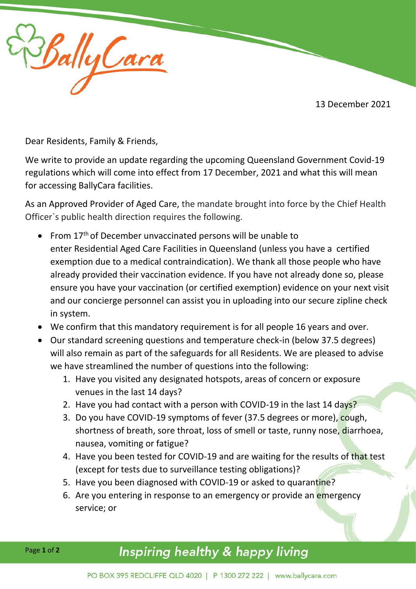13 December 2021



Dear Residents, Family & Friends,

We write to provide an update regarding the upcoming Queensland Government Covid-19 regulations which will come into effect from 17 December, 2021 and what this will mean for accessing BallyCara facilities.

As an Approved Provider of Aged Care, the mandate brought into force by the Chief Health Officer`s public health direction requires the following.

- From  $17<sup>th</sup>$  of December unvaccinated persons will be unable to enter Residential Aged Care Facilities in Queensland (unless you have a certified exemption due to a medical contraindication). We thank all those people who have already provided their vaccination evidence. If you have not already done so, please ensure you have your vaccination (or certified exemption) evidence on your next visit and our concierge personnel can assist you in uploading into our secure zipline check in system.
- We confirm that this mandatory requirement is for all people 16 years and over.
- Our standard screening questions and temperature check-in (below 37.5 degrees) will also remain as part of the safeguards for all Residents. We are pleased to advise we have streamlined the number of questions into the following:
	- 1. Have you visited any designated hotspots, areas of concern or exposure venues in the last 14 days?
	- 2. Have you had contact with a person with COVID-19 in the last 14 days?
	- 3. Do you have COVID-19 symptoms of fever (37.5 degrees or more), cough, shortness of breath, sore throat, loss of smell or taste, runny nose, diarrhoea, nausea, vomiting or fatigue?
	- 4. Have you been tested for COVID-19 and are waiting for the results of that test (except for tests due to surveillance testing obligations)?
	- 5. Have you been diagnosed with COVID-19 or asked to quarantine?
	- 6. Are you entering in response to an emergency or provide an emergency service; or

## Inspiring healthy & happy living